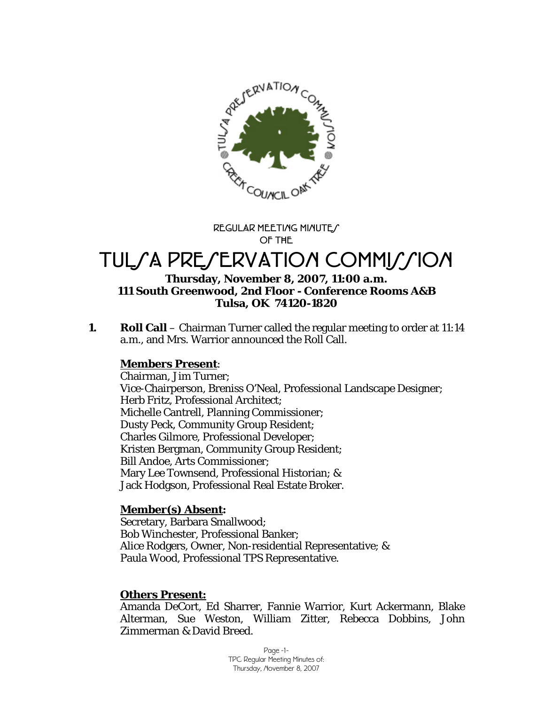

**REGULAR MEETING MINUTES OF THE** 

# TULSA PRESERVATION COMMISSION

#### **Thursday, November 8, 2007, 11:00 a.m. 111 South Greenwood, 2nd Floor - Conference Rooms A&B Tulsa, OK 74120-1820**

**1.** Roll Call – Chairman Turner called the regular meeting to order at 11:14 a.m., and Mrs. Warrior announced the Roll Call.

## **Members Present**:

Chairman, Jim Turner; Vice-Chairperson, Breniss O'Neal, Professional Landscape Designer; Herb Fritz, Professional Architect; Michelle Cantrell, Planning Commissioner; Dusty Peck, Community Group Resident; Charles Gilmore, Professional Developer; Kristen Bergman, Community Group Resident; Bill Andoe, Arts Commissioner; Mary Lee Townsend, Professional Historian; & Jack Hodgson, Professional Real Estate Broker.

## **Member(s) Absent:**

Secretary, Barbara Smallwood; Bob Winchester, Professional Banker; Alice Rodgers, Owner, Non-residential Representative; & Paula Wood, Professional TPS Representative.

## **Others Present:**

Amanda DeCort, Ed Sharrer, Fannie Warrior, Kurt Ackermann, Blake Alterman, Sue Weston, William Zitter, Rebecca Dobbins, John Zimmerman & David Breed.

> Page -1- TPC Regular Meeting Minutes of: Thursday, November 8, 2007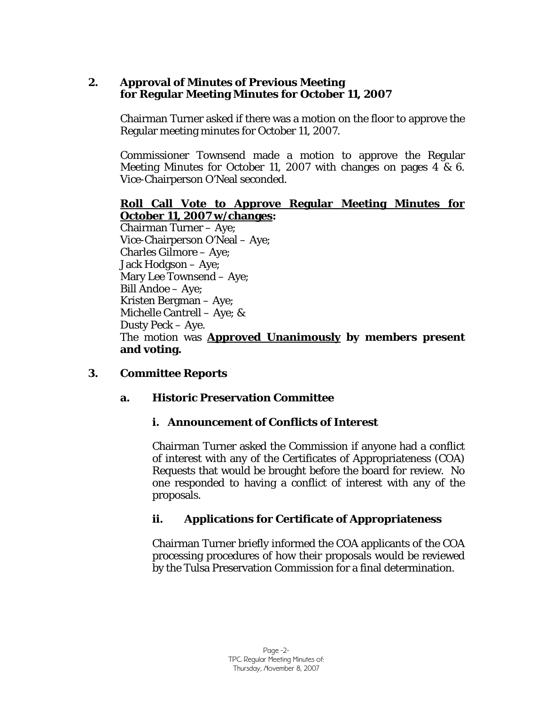## **2. Approval of Minutes of Previous Meeting for Regular Meeting Minutes for October 11, 2007**

Chairman Turner asked if there was a motion on the floor to approve the Regular meeting minutes for October 11, 2007.

Commissioner Townsend made a motion to approve the Regular Meeting Minutes for October 11, 2007 with changes on pages 4 & 6. Vice-Chairperson O'Neal seconded.

## **Roll Call Vote to Approve Regular Meeting Minutes for October 11, 2007 w/changes:**

Chairman Turner – Aye; Vice-Chairperson O'Neal – Aye; Charles Gilmore – Aye; Jack Hodgson – Aye; Mary Lee Townsend – Aye; Bill Andoe – Aye; Kristen Bergman – Aye; Michelle Cantrell – Aye; & Dusty Peck – Aye. The motion was **Approved Unanimously by members present and voting.** 

## **3. Committee Reports**

## **a. Historic Preservation Committee**

## **i. Announcement of Conflicts of Interest**

Chairman Turner asked the Commission if anyone had a conflict of interest with any of the Certificates of Appropriateness (COA) Requests that would be brought before the board for review. No one responded to having a conflict of interest with any of the proposals.

## **ii. Applications for Certificate of Appropriateness**

Chairman Turner briefly informed the COA applicants of the COA processing procedures of how their proposals would be reviewed by the Tulsa Preservation Commission for a final determination.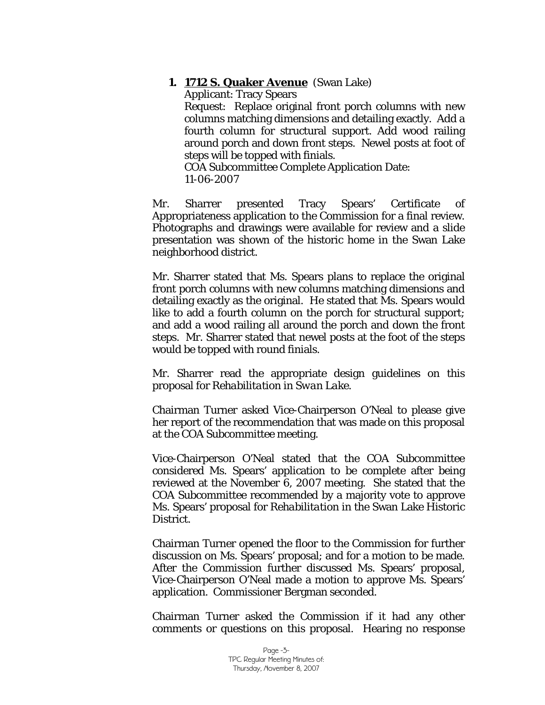**1. 1712 S. Quaker Avenue** (Swan Lake)

Applicant: Tracy Spears Request: Replace original front porch columns with new columns matching dimensions and detailing exactly. Add a fourth column for structural support. Add wood railing around porch and down front steps. Newel posts at foot of steps will be topped with finials.

COA Subcommittee Complete Application Date: 11-06-2007

Mr. Sharrer presented Tracy Spears' Certificate of Appropriateness application to the Commission for a final review. Photographs and drawings were available for review and a slide presentation was shown of the historic home in the Swan Lake neighborhood district.

Mr. Sharrer stated that Ms. Spears plans to replace the original front porch columns with new columns matching dimensions and detailing exactly as the original. He stated that Ms. Spears would like to add a fourth column on the porch for structural support; and add a wood railing all around the porch and down the front steps. Mr. Sharrer stated that newel posts at the foot of the steps would be topped with round finials.

Mr. Sharrer read the appropriate design guidelines on this proposal for *Rehabilitation in Swan Lake.* 

Chairman Turner asked Vice-Chairperson O'Neal to please give her report of the recommendation that was made on this proposal at the COA Subcommittee meeting.

Vice-Chairperson O'Neal stated that the COA Subcommittee considered Ms. Spears' application to be complete after being reviewed at the November 6, 2007 meeting. She stated that the COA Subcommittee recommended by a majority vote to approve Ms. Spears' proposal for *Rehabilitation* in the Swan Lake Historic District.

Chairman Turner opened the floor to the Commission for further discussion on Ms. Spears' proposal; and for a motion to be made. After the Commission further discussed Ms. Spears' proposal, Vice-Chairperson O'Neal made a motion to approve Ms. Spears' application. Commissioner Bergman seconded.

Chairman Turner asked the Commission if it had any other comments or questions on this proposal. Hearing no response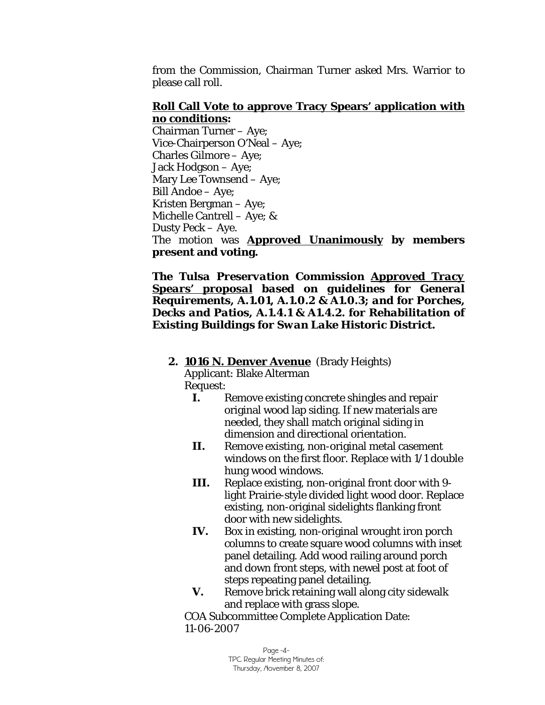from the Commission, Chairman Turner asked Mrs. Warrior to please call roll.

## **Roll Call Vote to approve Tracy Spears' application with no conditions:**

Chairman Turner – Aye; Vice-Chairperson O'Neal – Aye; Charles Gilmore – Aye; Jack Hodgson – Aye; Mary Lee Townsend – Aye; Bill Andoe – Aye; Kristen Bergman – Aye; Michelle Cantrell – Aye; & Dusty Peck – Aye. The motion was **Approved Unanimously by members present and voting.** 

*The Tulsa Preservation Commission Approved Tracy Spears' proposal based on guidelines for General Requirements, A.1.01, A.1.0.2 & A1.0.3; and for Porches, Decks and Patios, A.1.4.1 & A1.4.2. for Rehabilitation of Existing Buildings for Swan Lake Historic District.* 

## **2. 1016 N. Denver Avenue** (Brady Heights)

Applicant: Blake Alterman Request:

- **I.** Remove existing concrete shingles and repair original wood lap siding. If new materials are needed, they shall match original siding in dimension and directional orientation.
- **II.** Remove existing, non-original metal casement windows on the first floor. Replace with 1/1 double hung wood windows.
- **III.** Replace existing, non-original front door with 9 light Prairie-style divided light wood door. Replace existing, non-original sidelights flanking front door with new sidelights.
- **IV.** Box in existing, non-original wrought iron porch columns to create square wood columns with inset panel detailing. Add wood railing around porch and down front steps, with newel post at foot of steps repeating panel detailing.
- **V.** Remove brick retaining wall along city sidewalk and replace with grass slope.

COA Subcommittee Complete Application Date: 11-06-2007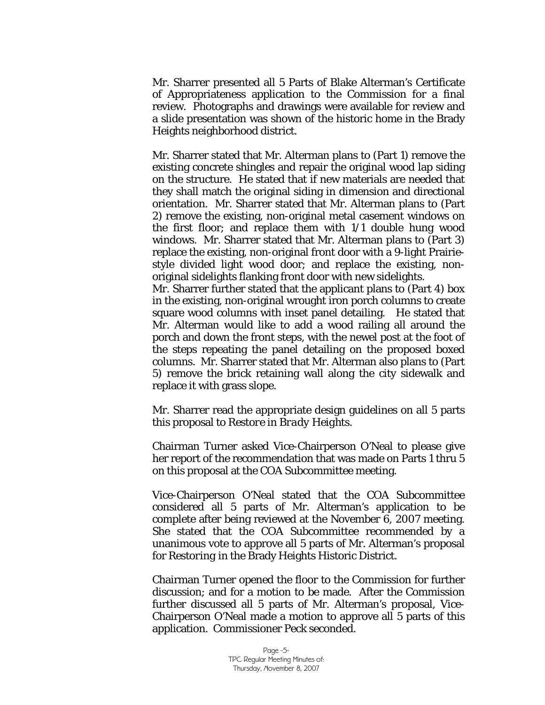Mr. Sharrer presented all 5 Parts of Blake Alterman's Certificate of Appropriateness application to the Commission for a final review. Photographs and drawings were available for review and a slide presentation was shown of the historic home in the Brady Heights neighborhood district.

Mr. Sharrer stated that Mr. Alterman plans to (Part 1) remove the existing concrete shingles and repair the original wood lap siding on the structure. He stated that if new materials are needed that they shall match the original siding in dimension and directional orientation. Mr. Sharrer stated that Mr. Alterman plans to (Part 2) remove the existing, non-original metal casement windows on the first floor; and replace them with 1/1 double hung wood windows. Mr. Sharrer stated that Mr. Alterman plans to (Part 3) replace the existing, non-original front door with a 9-light Prairiestyle divided light wood door; and replace the existing, nonoriginal sidelights flanking front door with new sidelights. Mr. Sharrer further stated that the applicant plans to (Part 4) box

in the existing, non-original wrought iron porch columns to create square wood columns with inset panel detailing. He stated that Mr. Alterman would like to add a wood railing all around the porch and down the front steps, with the newel post at the foot of the steps repeating the panel detailing on the proposed boxed columns. Mr. Sharrer stated that Mr. Alterman also plans to (Part 5) remove the brick retaining wall along the city sidewalk and replace it with grass slope.

Mr. Sharrer read the appropriate design guidelines on all 5 parts this proposal to *Restore in Brady Heights.* 

Chairman Turner asked Vice-Chairperson O'Neal to please give her report of the recommendation that was made on Parts 1 thru 5 on this proposal at the COA Subcommittee meeting.

Vice-Chairperson O'Neal stated that the COA Subcommittee considered all 5 parts of Mr. Alterman's application to be complete after being reviewed at the November 6, 2007 meeting. She stated that the COA Subcommittee recommended by a unanimous vote to approve all 5 parts of Mr. Alterman's proposal for *Restoring* in the Brady Heights Historic District.

Chairman Turner opened the floor to the Commission for further discussion; and for a motion to be made. After the Commission further discussed all 5 parts of Mr. Alterman's proposal, Vice-Chairperson O'Neal made a motion to approve all 5 parts of this application. Commissioner Peck seconded.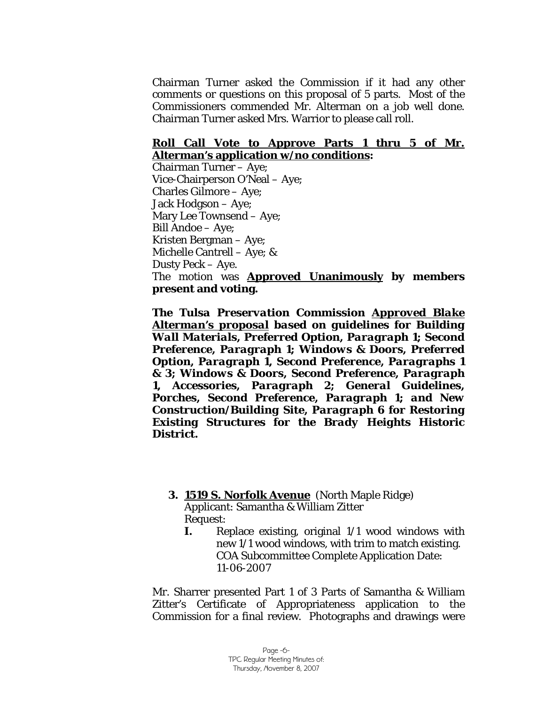Chairman Turner asked the Commission if it had any other comments or questions on this proposal of 5 parts. Most of the Commissioners commended Mr. Alterman on a job well done. Chairman Turner asked Mrs. Warrior to please call roll.

#### **Roll Call Vote to Approve Parts 1 thru 5 of Mr. Alterman's application w/no conditions:**

Chairman Turner – Aye; Vice-Chairperson O'Neal – Aye; Charles Gilmore – Aye; Jack Hodgson – Aye; Mary Lee Townsend – Aye; Bill Andoe – Aye; Kristen Bergman – Aye; Michelle Cantrell – Aye; & Dusty Peck – Aye. The motion was **Approved Unanimously by members present and voting.** 

*The Tulsa Preservation Commission Approved Blake Alterman's proposal based on guidelines for Building Wall Materials, Preferred Option, Paragraph 1; Second Preference, Paragraph 1; Windows & Doors, Preferred Option, Paragraph 1, Second Preference, Paragraphs 1 & 3; Windows & Doors, Second Preference, Paragraph 1, Accessories, Paragraph 2; General Guidelines, Porches, Second Preference, Paragraph 1; and New Construction/Building Site, Paragraph 6 for Restoring Existing Structures for the Brady Heights Historic District.* 

#### **3. 1519 S. Norfolk Avenue** (North Maple Ridge) Applicant: Samantha & William Zitter

Request:

**I.** Replace existing, original 1/1 wood windows with new 1/1 wood windows, with trim to match existing. COA Subcommittee Complete Application Date: 11-06-2007

Mr. Sharrer presented Part 1 of 3 Parts of Samantha & William Zitter's Certificate of Appropriateness application to the Commission for a final review. Photographs and drawings were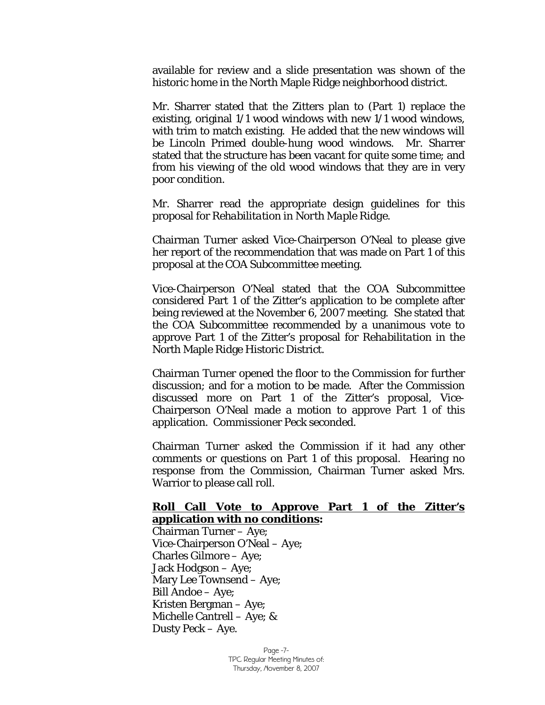available for review and a slide presentation was shown of the historic home in the North Maple Ridge neighborhood district.

Mr. Sharrer stated that the Zitters plan to (Part 1) replace the existing, original 1/1 wood windows with new 1/1 wood windows, with trim to match existing. He added that the new windows will be Lincoln Primed double-hung wood windows. Mr. Sharrer stated that the structure has been vacant for quite some time; and from his viewing of the old wood windows that they are in very poor condition.

Mr. Sharrer read the appropriate design guidelines for this proposal for *Rehabilitation in North Maple Ridge.* 

Chairman Turner asked Vice-Chairperson O'Neal to please give her report of the recommendation that was made on Part 1 of this proposal at the COA Subcommittee meeting.

Vice-Chairperson O'Neal stated that the COA Subcommittee considered Part 1 of the Zitter's application to be complete after being reviewed at the November 6, 2007 meeting. She stated that the COA Subcommittee recommended by a unanimous vote to approve Part 1 of the Zitter's proposal for *Rehabilitation* in the North Maple Ridge Historic District.

Chairman Turner opened the floor to the Commission for further discussion; and for a motion to be made. After the Commission discussed more on Part 1 of the Zitter's proposal, Vice-Chairperson O'Neal made a motion to approve Part 1 of this application. Commissioner Peck seconded.

Chairman Turner asked the Commission if it had any other comments or questions on Part 1 of this proposal. Hearing no response from the Commission, Chairman Turner asked Mrs. Warrior to please call roll.

#### **Roll Call Vote to Approve Part 1 of the Zitter's application with no conditions:**

Chairman Turner – Aye; Vice-Chairperson O'Neal – Aye; Charles Gilmore – Aye; Jack Hodgson – Aye; Mary Lee Townsend – Aye; Bill Andoe – Aye; Kristen Bergman – Aye; Michelle Cantrell – Aye; & Dusty Peck – Aye.

> Page -7- TPC Regular Meeting Minutes of: Thursday, November 8, 2007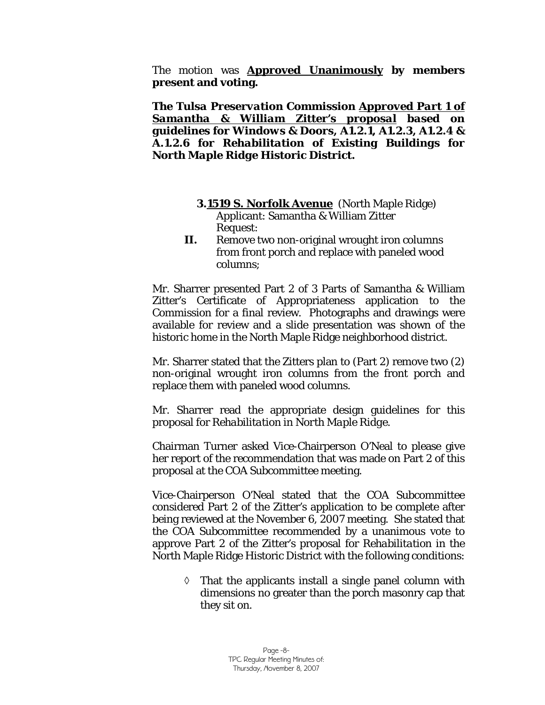The motion was **Approved Unanimously by members present and voting.** 

*The Tulsa Preservation Commission Approved Part 1 of Samantha & William Zitter's proposal based on guidelines for Windows & Doors, A1.2.1, A1.2.3, A1.2.4 & A.1.2.6 for Rehabilitation of Existing Buildings for North Maple Ridge Historic District.* 

- **3.1519 S. Norfolk Avenue** (North Maple Ridge) Applicant: Samantha & William Zitter Request:
- **II.** Remove two non-original wrought iron columns from front porch and replace with paneled wood columns;

Mr. Sharrer presented Part 2 of 3 Parts of Samantha & William Zitter's Certificate of Appropriateness application to the Commission for a final review. Photographs and drawings were available for review and a slide presentation was shown of the historic home in the North Maple Ridge neighborhood district.

Mr. Sharrer stated that the Zitters plan to (Part 2) remove two (2) non-original wrought iron columns from the front porch and replace them with paneled wood columns.

Mr. Sharrer read the appropriate design guidelines for this proposal for *Rehabilitation in North Maple Ridge.* 

Chairman Turner asked Vice-Chairperson O'Neal to please give her report of the recommendation that was made on Part 2 of this proposal at the COA Subcommittee meeting.

Vice-Chairperson O'Neal stated that the COA Subcommittee considered Part 2 of the Zitter's application to be complete after being reviewed at the November 6, 2007 meeting. She stated that the COA Subcommittee recommended by a unanimous vote to approve Part 2 of the Zitter's proposal for *Rehabilitation* in the North Maple Ridge Historic District with the following conditions:

> ◊ That the applicants install a single panel column with dimensions no greater than the porch masonry cap that they sit on.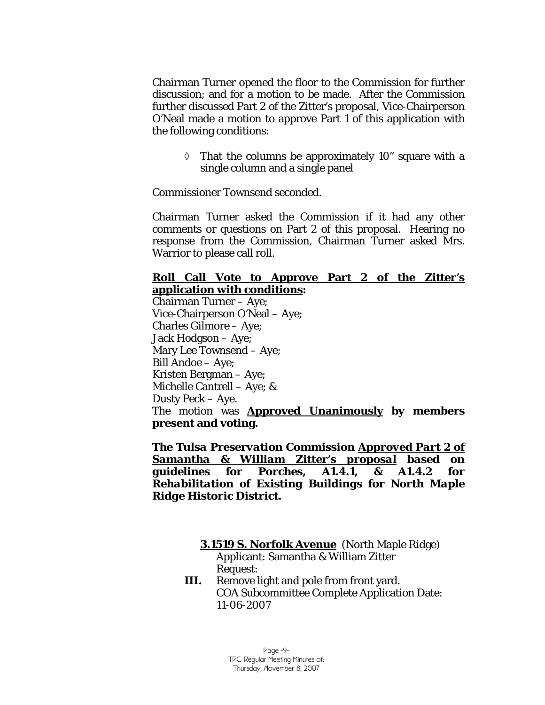Chairman Turner opened the floor to the Commission for further discussion; and for a motion to be made. After the Commission further discussed Part 2 of the Zitter's proposal, Vice-Chairperson O'Neal made a motion to approve Part 1 of this application with the following conditions:

 $\Diamond$  That the columns be approximately 10" square with a single column and a single panel

Commissioner Townsend seconded.

Chairman Turner asked the Commission if it had any other comments or questions on Part 2 of this proposal. Hearing no response from the Commission, Chairman Turner asked Mrs. Warrior to please call roll.

## **Roll Call Vote to Approve Part 2 of the Zitter's application with conditions:**

Chairman Turner – Aye; Vice-Chairperson O'Neal – Aye; Charles Gilmore – Aye; Jack Hodgson – Aye; Mary Lee Townsend – Aye; Bill Andoe – Aye; Kristen Bergman – Aye; Michelle Cantrell – Aye; & Dusty Peck – Aye. The motion was **Approved Unanimously by members present and voting.** 

*The Tulsa Preservation Commission Approved Part 2 of Samantha & William Zitter's proposal based on guidelines for Porches, A1.4.1, & A1.4.2 for Rehabilitation of Existing Buildings for North Maple Ridge Historic District.* 

#### **3.1519 S. Norfolk Avenue** (North Maple Ridge) Applicant: Samantha & William Zitter Request:

**III.** Remove light and pole from front yard. COA Subcommittee Complete Application Date: 11-06-2007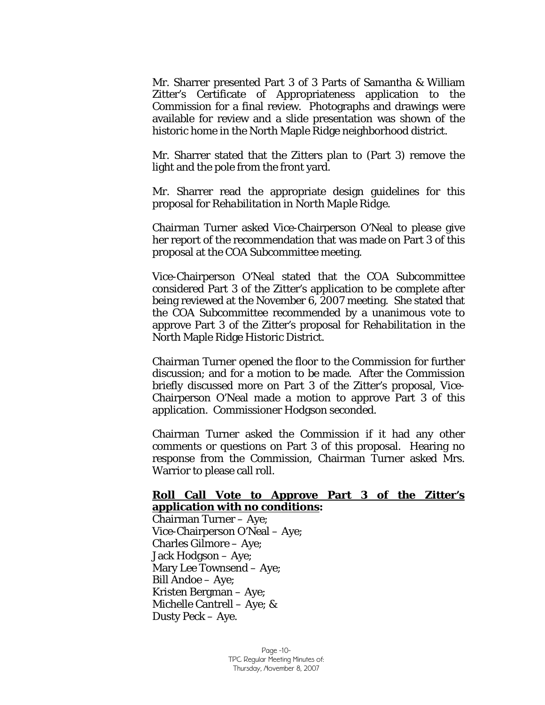Mr. Sharrer presented Part 3 of 3 Parts of Samantha & William Zitter's Certificate of Appropriateness application to the Commission for a final review. Photographs and drawings were available for review and a slide presentation was shown of the historic home in the North Maple Ridge neighborhood district.

Mr. Sharrer stated that the Zitters plan to (Part 3) remove the light and the pole from the front yard.

Mr. Sharrer read the appropriate design guidelines for this proposal for *Rehabilitation in North Maple Ridge.* 

Chairman Turner asked Vice-Chairperson O'Neal to please give her report of the recommendation that was made on Part 3 of this proposal at the COA Subcommittee meeting.

Vice-Chairperson O'Neal stated that the COA Subcommittee considered Part 3 of the Zitter's application to be complete after being reviewed at the November 6, 2007 meeting. She stated that the COA Subcommittee recommended by a unanimous vote to approve Part 3 of the Zitter's proposal for *Rehabilitation* in the North Maple Ridge Historic District.

Chairman Turner opened the floor to the Commission for further discussion; and for a motion to be made. After the Commission briefly discussed more on Part 3 of the Zitter's proposal, Vice-Chairperson O'Neal made a motion to approve Part 3 of this application. Commissioner Hodgson seconded.

Chairman Turner asked the Commission if it had any other comments or questions on Part 3 of this proposal. Hearing no response from the Commission, Chairman Turner asked Mrs. Warrior to please call roll.

#### **Roll Call Vote to Approve Part 3 of the Zitter's application with no conditions:**

Chairman Turner – Aye; Vice-Chairperson O'Neal – Aye; Charles Gilmore – Aye; Jack Hodgson – Aye; Mary Lee Townsend – Aye; Bill Andoe – Aye; Kristen Bergman – Aye; Michelle Cantrell – Aye; & Dusty Peck – Aye.

> Page -10- TPC Regular Meeting Minutes of: Thursday, November 8, 2007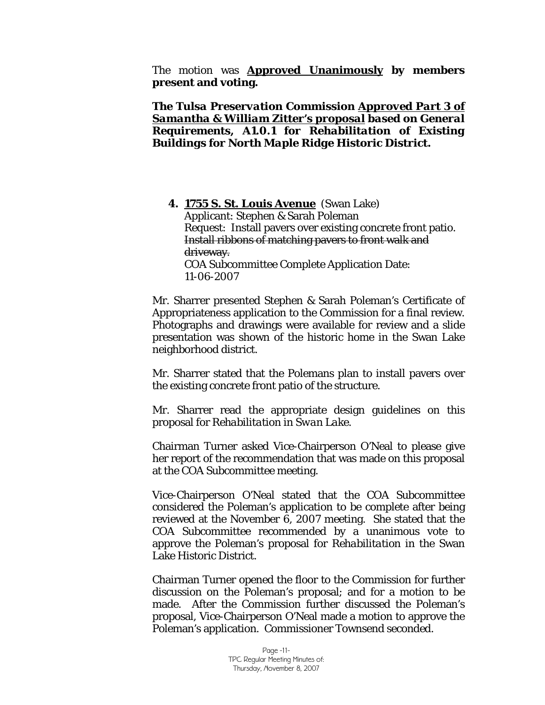The motion was **Approved Unanimously by members present and voting.** 

*The Tulsa Preservation Commission Approved Part 3 of Samantha & William Zitter's proposal based on General Requirements, A1.0.1 for Rehabilitation of Existing Buildings for North Maple Ridge Historic District.* 

**4. 1755 S. St. Louis Avenue** (Swan Lake) Applicant: Stephen & Sarah Poleman Request: Install pavers over existing concrete front patio. Install ribbons of matching pavers to front walk and driveway. COA Subcommittee Complete Application Date: 11-06-2007

Mr. Sharrer presented Stephen & Sarah Poleman's Certificate of Appropriateness application to the Commission for a final review. Photographs and drawings were available for review and a slide presentation was shown of the historic home in the Swan Lake neighborhood district.

Mr. Sharrer stated that the Polemans plan to install pavers over the existing concrete front patio of the structure.

Mr. Sharrer read the appropriate design guidelines on this proposal for *Rehabilitation in Swan Lake.* 

Chairman Turner asked Vice-Chairperson O'Neal to please give her report of the recommendation that was made on this proposal at the COA Subcommittee meeting.

Vice-Chairperson O'Neal stated that the COA Subcommittee considered the Poleman's application to be complete after being reviewed at the November 6, 2007 meeting. She stated that the COA Subcommittee recommended by a unanimous vote to approve the Poleman's proposal for *Rehabilitation* in the Swan Lake Historic District.

Chairman Turner opened the floor to the Commission for further discussion on the Poleman's proposal; and for a motion to be made. After the Commission further discussed the Poleman's proposal, Vice-Chairperson O'Neal made a motion to approve the Poleman's application. Commissioner Townsend seconded.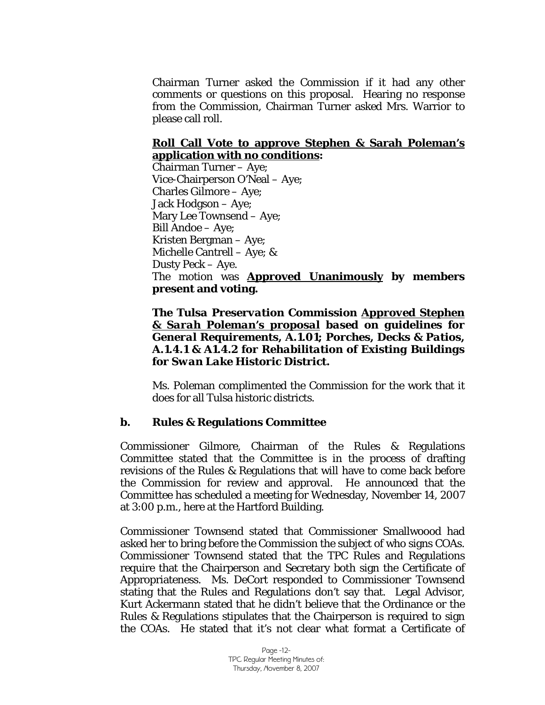Chairman Turner asked the Commission if it had any other comments or questions on this proposal. Hearing no response from the Commission, Chairman Turner asked Mrs. Warrior to please call roll.

## **Roll Call Vote to approve Stephen & Sarah Poleman's application with no conditions:**

Chairman Turner – Aye; Vice-Chairperson O'Neal – Aye; Charles Gilmore – Aye; Jack Hodgson – Aye; Mary Lee Townsend – Aye; Bill Andoe – Aye; Kristen Bergman – Aye; Michelle Cantrell – Aye; & Dusty Peck – Aye. The motion was **Approved Unanimously by members present and voting.** 

## *The Tulsa Preservation Commission Approved Stephen & Sarah Poleman's proposal based on guidelines for General Requirements, A.1.01; Porches, Decks & Patios, A.1.4.1 & A1.4.2 for Rehabilitation of Existing Buildings for Swan Lake Historic District.*

Ms. Poleman complimented the Commission for the work that it does for all Tulsa historic districts.

## **b. Rules & Regulations Committee**

Commissioner Gilmore, Chairman of the Rules & Regulations Committee stated that the Committee is in the process of drafting revisions of the Rules & Regulations that will have to come back before the Commission for review and approval. He announced that the Committee has scheduled a meeting for Wednesday, November 14, 2007 at 3:00 p.m., here at the Hartford Building.

Commissioner Townsend stated that Commissioner Smallwoood had asked her to bring before the Commission the subject of who signs COAs. Commissioner Townsend stated that the TPC Rules and Regulations require that the Chairperson and Secretary both sign the Certificate of Appropriateness. Ms. DeCort responded to Commissioner Townsend stating that the Rules and Regulations don't say that. Legal Advisor, Kurt Ackermann stated that he didn't believe that the Ordinance or the Rules & Regulations stipulates that the Chairperson is required to sign the COAs. He stated that it's not clear what format a Certificate of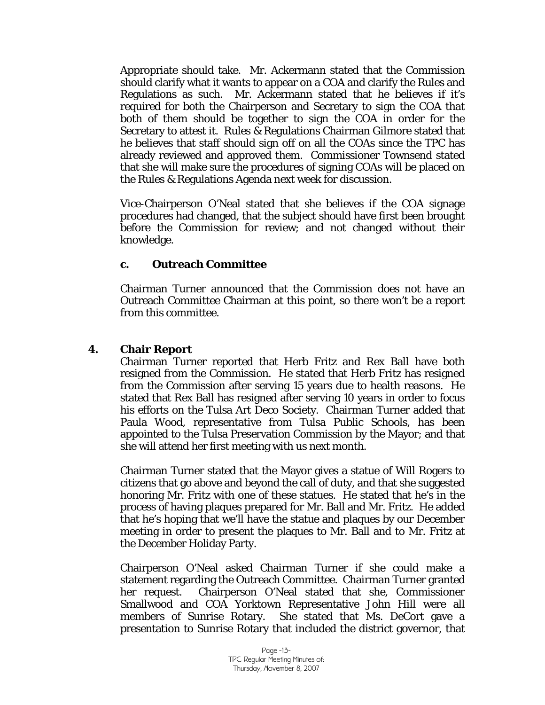Appropriate should take. Mr. Ackermann stated that the Commission should clarify what it wants to appear on a COA and clarify the Rules and Regulations as such. Mr. Ackermann stated that he believes if it's required for both the Chairperson and Secretary to sign the COA that both of them should be together to sign the COA in order for the Secretary to attest it. Rules & Regulations Chairman Gilmore stated that he believes that staff should sign off on all the COAs since the TPC has already reviewed and approved them. Commissioner Townsend stated that she will make sure the procedures of signing COAs will be placed on the Rules & Regulations Agenda next week for discussion.

Vice-Chairperson O'Neal stated that she believes if the COA signage procedures had changed, that the subject should have first been brought before the Commission for review; and not changed without their knowledge.

#### **c. Outreach Committee**

Chairman Turner announced that the Commission does not have an Outreach Committee Chairman at this point, so there won't be a report from this committee.

#### **4. Chair Report**

Chairman Turner reported that Herb Fritz and Rex Ball have both resigned from the Commission. He stated that Herb Fritz has resigned from the Commission after serving 15 years due to health reasons. He stated that Rex Ball has resigned after serving 10 years in order to focus his efforts on the Tulsa Art Deco Society. Chairman Turner added that Paula Wood, representative from Tulsa Public Schools, has been appointed to the Tulsa Preservation Commission by the Mayor; and that she will attend her first meeting with us next month.

Chairman Turner stated that the Mayor gives a statue of Will Rogers to citizens that go above and beyond the call of duty, and that she suggested honoring Mr. Fritz with one of these statues. He stated that he's in the process of having plaques prepared for Mr. Ball and Mr. Fritz. He added that he's hoping that we'll have the statue and plaques by our December meeting in order to present the plaques to Mr. Ball and to Mr. Fritz at the December Holiday Party.

Chairperson O'Neal asked Chairman Turner if she could make a statement regarding the Outreach Committee. Chairman Turner granted her request. Chairperson O'Neal stated that she, Commissioner Smallwood and COA Yorktown Representative John Hill were all members of Sunrise Rotary. She stated that Ms. DeCort gave a presentation to Sunrise Rotary that included the district governor, that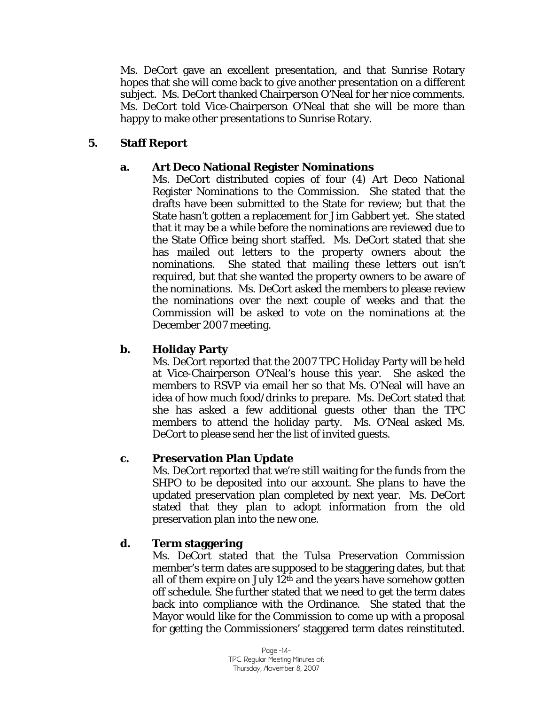Ms. DeCort gave an excellent presentation, and that Sunrise Rotary hopes that she will come back to give another presentation on a different subject. Ms. DeCort thanked Chairperson O'Neal for her nice comments. Ms. DeCort told Vice-Chairperson O'Neal that she will be more than happy to make other presentations to Sunrise Rotary.

## **5. Staff Report**

## **a. Art Deco National Register Nominations**

Ms. DeCort distributed copies of four (4) Art Deco National Register Nominations to the Commission. She stated that the drafts have been submitted to the State for review; but that the State hasn't gotten a replacement for Jim Gabbert yet. She stated that it may be a while before the nominations are reviewed due to the State Office being short staffed. Ms. DeCort stated that she has mailed out letters to the property owners about the nominations. She stated that mailing these letters out isn't required, but that she wanted the property owners to be aware of the nominations. Ms. DeCort asked the members to please review the nominations over the next couple of weeks and that the Commission will be asked to vote on the nominations at the December 2007 meeting.

## **b. Holiday Party**

Ms. DeCort reported that the 2007 TPC Holiday Party will be held at Vice-Chairperson O'Neal's house this year. She asked the members to RSVP via email her so that Ms. O'Neal will have an idea of how much food/drinks to prepare. Ms. DeCort stated that she has asked a few additional guests other than the TPC members to attend the holiday party. Ms. O'Neal asked Ms. DeCort to please send her the list of invited guests.

## **c. Preservation Plan Update**

Ms. DeCort reported that we're still waiting for the funds from the SHPO to be deposited into our account. She plans to have the updated preservation plan completed by next year. Ms. DeCort stated that they plan to adopt information from the old preservation plan into the new one.

## **d. Term staggering**

Ms. DeCort stated that the Tulsa Preservation Commission member's term dates are supposed to be staggering dates, but that all of them expire on July  $12<sup>th</sup>$  and the years have somehow gotten off schedule. She further stated that we need to get the term dates back into compliance with the Ordinance. She stated that the Mayor would like for the Commission to come up with a proposal for getting the Commissioners' staggered term dates reinstituted.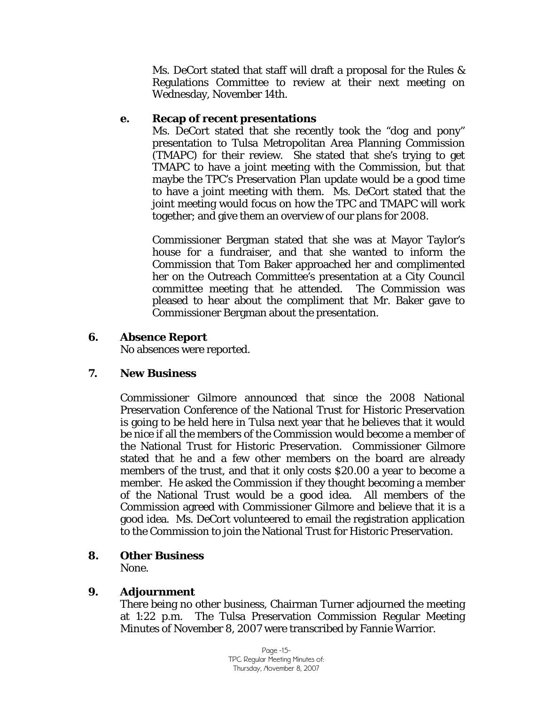Ms. DeCort stated that staff will draft a proposal for the Rules & Regulations Committee to review at their next meeting on Wednesday, November 14th.

## **e. Recap of recent presentations**

Ms. DeCort stated that she recently took the "dog and pony" presentation to Tulsa Metropolitan Area Planning Commission (TMAPC) for their review. She stated that she's trying to get TMAPC to have a joint meeting with the Commission, but that maybe the TPC's Preservation Plan update would be a good time to have a joint meeting with them. Ms. DeCort stated that the joint meeting would focus on how the TPC and TMAPC will work together; and give them an overview of our plans for 2008.

Commissioner Bergman stated that she was at Mayor Taylor's house for a fundraiser, and that she wanted to inform the Commission that Tom Baker approached her and complimented her on the Outreach Committee's presentation at a City Council committee meeting that he attended. The Commission was pleased to hear about the compliment that Mr. Baker gave to Commissioner Bergman about the presentation.

## **6. Absence Report**

No absences were reported.

## **7. New Business**

Commissioner Gilmore announced that since the 2008 National Preservation Conference of the National Trust for Historic Preservation is going to be held here in Tulsa next year that he believes that it would be nice if all the members of the Commission would become a member of the National Trust for Historic Preservation. Commissioner Gilmore stated that he and a few other members on the board are already members of the trust, and that it only costs \$20.00 a year to become a member. He asked the Commission if they thought becoming a member of the National Trust would be a good idea. All members of the Commission agreed with Commissioner Gilmore and believe that it is a good idea. Ms. DeCort volunteered to email the registration application to the Commission to join the National Trust for Historic Preservation.

## **8. Other Business**

None.

## **9. Adjournment**

There being no other business, Chairman Turner adjourned the meeting at 1:22 p.m. The Tulsa Preservation Commission Regular Meeting Minutes of November 8, 2007 were transcribed by Fannie Warrior.

> Page -15- TPC Regular Meeting Minutes of: Thursday, November 8, 2007